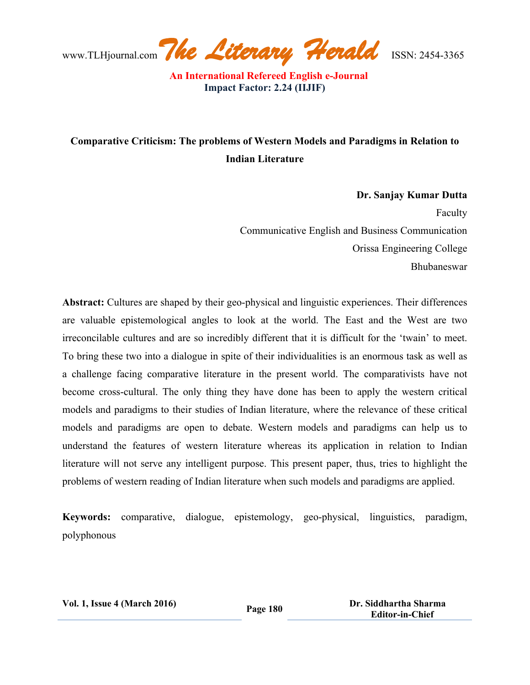www.TLHjournal.com*The Literary Herald*ISSN: 2454-3365

## **Comparative Criticism: The problems of Western Models and Paradigms in Relation to Indian Literature**

**Dr. Sanjay Kumar Dutta** Faculty Communicative English and Business Communication Orissa Engineering College Bhubaneswar

**Abstract:** Cultures are shaped by their geo-physical and linguistic experiences. Their differences are valuable epistemological angles to look at the world. The East and the West are two irreconcilable cultures and are so incredibly different that it is difficult for the 'twain' to meet. To bring these two into a dialogue in spite of their individualities is an enormous task as well as a challenge facing comparative literature in the present world. The comparativists have not become cross-cultural. The only thing they have done has been to apply the western critical models and paradigms to their studies of Indian literature, where the relevance of these critical models and paradigms are open to debate. Western models and paradigms can help us to understand the features of western literature whereas its application in relation to Indian literature will not serve any intelligent purpose. This present paper, thus, tries to highlight the problems of western reading of Indian literature when such models and paradigms are applied.

**Keywords:** comparative, dialogue, epistemology, geo-physical, linguistics, paradigm, polyphonous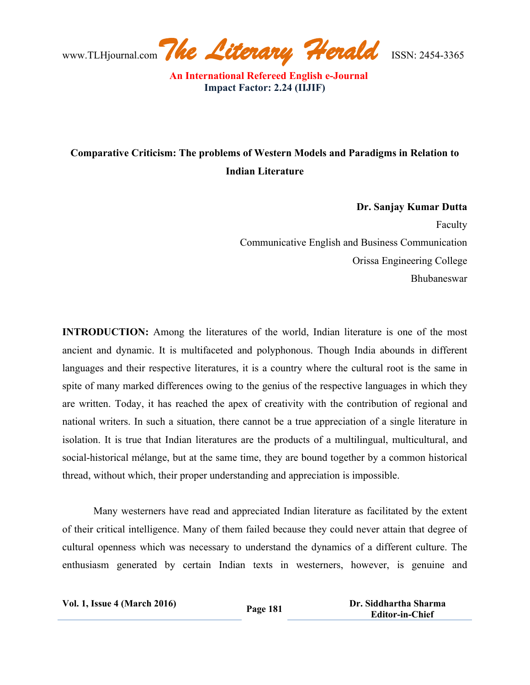www.TLHjournal.com*The Literary Herald*ISSN: 2454-3365

## **Comparative Criticism: The problems of Western Models and Paradigms in Relation to Indian Literature**

**Dr. Sanjay Kumar Dutta** Faculty Communicative English and Business Communication Orissa Engineering College Bhubaneswar

**INTRODUCTION:** Among the literatures of the world, Indian literature is one of the most ancient and dynamic. It is multifaceted and polyphonous. Though India abounds in different languages and their respective literatures, it is a country where the cultural root is the same in spite of many marked differences owing to the genius of the respective languages in which they are written. Today, it has reached the apex of creativity with the contribution of regional and national writers. In such a situation, there cannot be a true appreciation of a single literature in isolation. It is true that Indian literatures are the products of a multilingual, multicultural, and social-historical mélange, but at the same time, they are bound together by a common historical thread, without which, their proper understanding and appreciation is impossible.

Many westerners have read and appreciated Indian literature as facilitated by the extent of their critical intelligence. Many of them failed because they could never attain that degree of cultural openness which was necessary to understand the dynamics of a different culture. The enthusiasm generated by certain Indian texts in westerners, however, is genuine and

| <b>Vol. 1, Issue 4 (March 2016)</b> | <b>Page 181</b> | Dr. Siddhartha Sharma  |
|-------------------------------------|-----------------|------------------------|
|                                     |                 | <b>Editor-in-Chief</b> |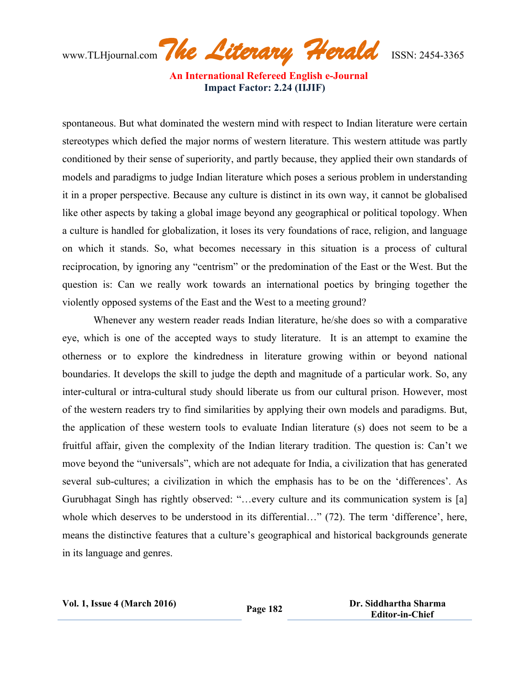www.TLHjournal.com*The Literary Herald*ISSN: 2454-3365

spontaneous. But what dominated the western mind with respect to Indian literature were certain stereotypes which defied the major norms of western literature. This western attitude was partly conditioned by their sense of superiority, and partly because, they applied their own standards of models and paradigms to judge Indian literature which poses a serious problem in understanding it in a proper perspective. Because any culture is distinct in its own way, it cannot be globalised like other aspects by taking a global image beyond any geographical or political topology. When a culture is handled for globalization, it loses its very foundations of race, religion, and language on which it stands. So, what becomes necessary in this situation is a process of cultural reciprocation, by ignoring any "centrism" or the predomination of the East or the West. But the question is: Can we really work towards an international poetics by bringing together the violently opposed systems of the East and the West to a meeting ground?

Whenever any western reader reads Indian literature, he/she does so with a comparative eye, which is one of the accepted ways to study literature. It is an attempt to examine the otherness or to explore the kindredness in literature growing within or beyond national boundaries. It develops the skill to judge the depth and magnitude of a particular work. So, any inter-cultural or intra-cultural study should liberate us from our cultural prison. However, most of the western readers try to find similarities by applying their own models and paradigms. But, the application of these western tools to evaluate Indian literature (s) does not seem to be a fruitful affair, given the complexity of the Indian literary tradition. The question is: Can't we move beyond the "universals", which are not adequate for India, a civilization that has generated several sub-cultures; a civilization in which the emphasis has to be on the 'differences'. As Gurubhagat Singh has rightly observed: "…every culture and its communication system is [a] whole which deserves to be understood in its differential..." (72). The term 'difference', here, means the distinctive features that a culture's geographical and historical backgrounds generate in its language and genres.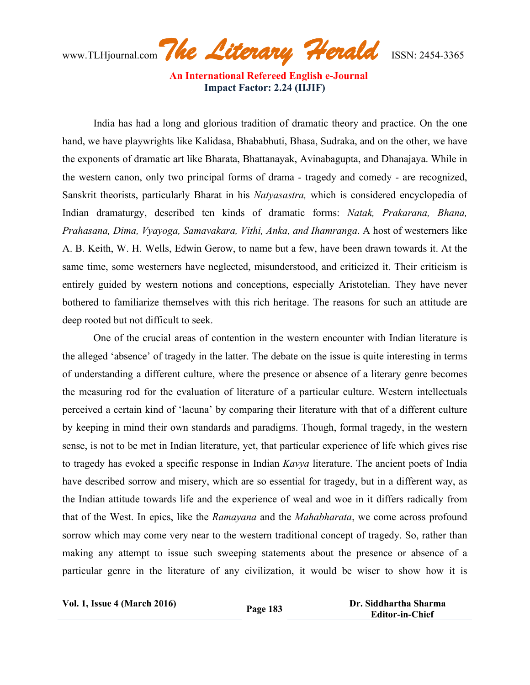www.TLHjournal.com*The Literary Herald*ISSN: 2454-3365

India has had a long and glorious tradition of dramatic theory and practice. On the one hand, we have playwrights like Kalidasa, Bhababhuti, Bhasa, Sudraka, and on the other, we have the exponents of dramatic art like Bharata, Bhattanayak, Avinabagupta, and Dhanajaya. While in the western canon, only two principal forms of drama - tragedy and comedy - are recognized, Sanskrit theorists, particularly Bharat in his *Natyasastra,* which is considered encyclopedia of Indian dramaturgy, described ten kinds of dramatic forms: *Natak, Prakarana, Bhana, Prahasana, Dima, Vyayoga, Samavakara, Vithi, Anka, and Ihamranga*. A host of westerners like A. B. Keith, W. H. Wells, Edwin Gerow, to name but a few, have been drawn towards it. At the same time, some westerners have neglected, misunderstood, and criticized it. Their criticism is entirely guided by western notions and conceptions, especially Aristotelian. They have never bothered to familiarize themselves with this rich heritage. The reasons for such an attitude are deep rooted but not difficult to seek.

One of the crucial areas of contention in the western encounter with Indian literature is the alleged 'absence' of tragedy in the latter. The debate on the issue is quite interesting in terms of understanding a different culture, where the presence or absence of a literary genre becomes the measuring rod for the evaluation of literature of a particular culture. Western intellectuals perceived a certain kind of 'lacuna' by comparing their literature with that of a different culture by keeping in mind their own standards and paradigms. Though, formal tragedy, in the western sense, is not to be met in Indian literature, yet, that particular experience of life which gives rise to tragedy has evoked a specific response in Indian *Kavya* literature. The ancient poets of India have described sorrow and misery, which are so essential for tragedy, but in a different way, as the Indian attitude towards life and the experience of weal and woe in it differs radically from that of the West. In epics, like the *Ramayana* and the *Mahabharata*, we come across profound sorrow which may come very near to the western traditional concept of tragedy. So, rather than making any attempt to issue such sweeping statements about the presence or absence of a particular genre in the literature of any civilization, it would be wiser to show how it is

**Vol. 1, Issue <sup>4</sup> (March 2016) Page <sup>183</sup> Dr. Siddhartha Sharma Editor-in-Chief**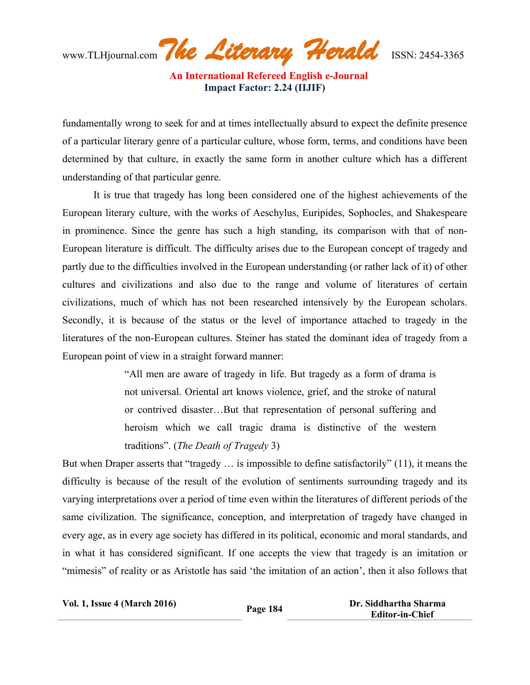www.TLHjournal.com*The Literary Herald*ISSN: 2454-3365

fundamentally wrong to seek for and at times intellectually absurd to expect the definite presence of a particular literary genre of a particular culture, whose form, terms, and conditions have been determined by that culture, in exactly the same form in another culture which has a different understanding of that particular genre.

It is true that tragedy has long been considered one of the highest achievements of the European literary culture, with the works of Aeschylus, Euripides, Sophocles, and Shakespeare in prominence. Since the genre has such a high standing, its comparison with that of non-European literature is difficult. The difficulty arises due to the European concept of tragedy and partly due to the difficulties involved in the European understanding (or rather lack of it) of other cultures and civilizations and also due to the range and volume of literatures of certain civilizations, much of which has not been researched intensively by the European scholars. Secondly, it is because of the status or the level of importance attached to tragedy in the literatures of the non-European cultures. Steiner has stated the dominant idea of tragedy from a European point of view in a straight forward manner:

> "All men are aware of tragedy in life. But tragedy as a form of drama is not universal. Oriental art knows violence, grief, and the stroke of natural or contrived disaster…But that representation of personal suffering and heroism which we call tragic drama is distinctive of the western traditions". (*The Death of Tragedy* 3)

But when Draper asserts that "tragedy … is impossible to define satisfactorily" (11), it means the difficulty is because of the result of the evolution of sentiments surrounding tragedy and its varying interpretations over a period of time even within the literatures of different periods of the same civilization. The significance, conception, and interpretation of tragedy have changed in every age, as in every age society has differed in its political, economic and moral standards, and in what it has considered significant. If one accepts the view that tragedy is an imitation or "mimesis" of reality or as Aristotle has said 'the imitation of an action', then it also follows that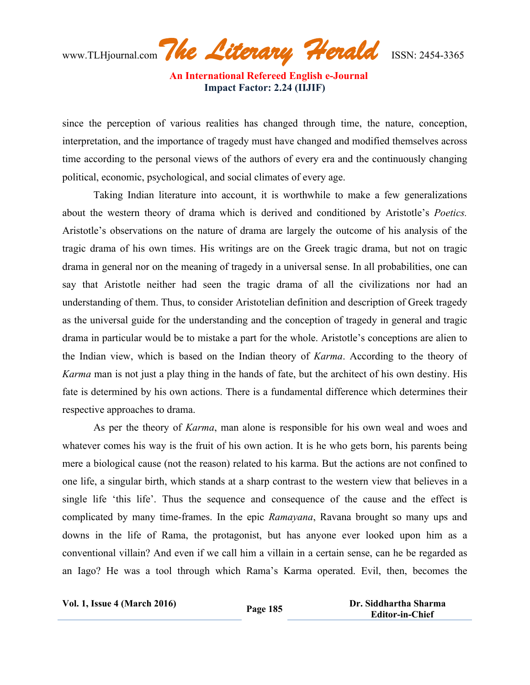www.TLHjournal.com*The Literary Herald*ISSN: 2454-3365

since the perception of various realities has changed through time, the nature, conception, interpretation, and the importance of tragedy must have changed and modified themselves across time according to the personal views of the authors of every era and the continuously changing political, economic, psychological, and social climates of every age.

Taking Indian literature into account, it is worthwhile to make a few generalizations about the western theory of drama which is derived and conditioned by Aristotle's *Poetics.* Aristotle's observations on the nature of drama are largely the outcome of his analysis of the tragic drama of his own times. His writings are on the Greek tragic drama, but not on tragic drama in general nor on the meaning of tragedy in a universal sense. In all probabilities, one can say that Aristotle neither had seen the tragic drama of all the civilizations nor had an understanding of them. Thus, to consider Aristotelian definition and description of Greek tragedy as the universal guide for the understanding and the conception of tragedy in general and tragic drama in particular would be to mistake a part for the whole. Aristotle's conceptions are alien to the Indian view, which is based on the Indian theory of *Karma*. According to the theory of *Karma* man is not just a play thing in the hands of fate, but the architect of his own destiny. His fate is determined by his own actions. There is a fundamental difference which determines their respective approaches to drama.

As per the theory of *Karma*, man alone is responsible for his own weal and woes and whatever comes his way is the fruit of his own action. It is he who gets born, his parents being mere a biological cause (not the reason) related to his karma. But the actions are not confined to one life, a singular birth, which stands at a sharp contrast to the western view that believes in a single life 'this life'. Thus the sequence and consequence of the cause and the effect is complicated by many time-frames. In the epic *Ramayana*, Ravana brought so many ups and downs in the life of Rama, the protagonist, but has anyone ever looked upon him as a conventional villain? And even if we call him a villain in a certain sense, can he be regarded as an Iago? He was a tool through which Rama's Karma operated. Evil, then, becomes the

**Vol. 1, Issue <sup>4</sup> (March 2016) Page <sup>185</sup> Dr. Siddhartha Sharma Editor-in-Chief**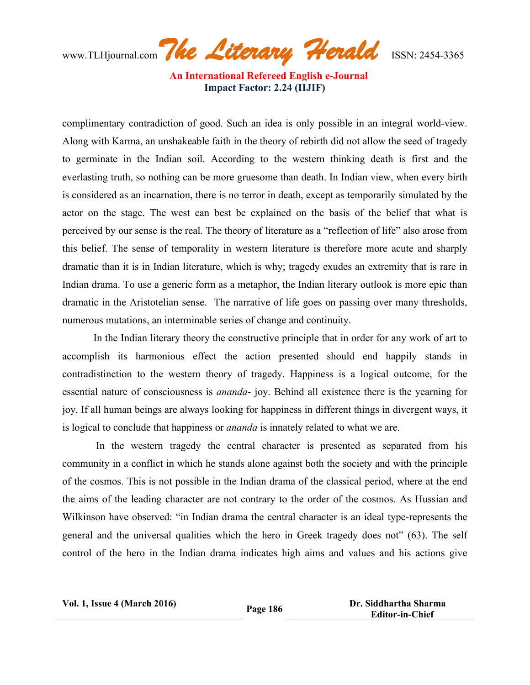www.TLHjournal.com*The Literary Herald*ISSN: 2454-3365

complimentary contradiction of good. Such an idea is only possible in an integral world-view. Along with Karma, an unshakeable faith in the theory of rebirth did not allow the seed of tragedy to germinate in the Indian soil. According to the western thinking death is first and the everlasting truth, so nothing can be more gruesome than death. In Indian view, when every birth is considered as an incarnation, there is no terror in death, except as temporarily simulated by the actor on the stage. The west can best be explained on the basis of the belief that what is perceived by our sense is the real. The theory of literature as a "reflection of life" also arose from this belief. The sense of temporality in western literature is therefore more acute and sharply dramatic than it is in Indian literature, which is why; tragedy exudes an extremity that is rare in Indian drama. To use a generic form as a metaphor, the Indian literary outlook is more epic than dramatic in the Aristotelian sense. The narrative of life goes on passing over many thresholds, numerous mutations, an interminable series of change and continuity.

In the Indian literary theory the constructive principle that in order for any work of art to accomplish its harmonious effect the action presented should end happily stands in contradistinction to the western theory of tragedy. Happiness is a logical outcome, for the essential nature of consciousness is *ananda*- joy. Behind all existence there is the yearning for joy. If all human beings are always looking for happiness in different things in divergent ways, it is logical to conclude that happiness or *ananda* is innately related to what we are.

In the western tragedy the central character is presented as separated from his community in a conflict in which he stands alone against both the society and with the principle of the cosmos. This is not possible in the Indian drama of the classical period, where at the end the aims of the leading character are not contrary to the order of the cosmos. As Hussian and Wilkinson have observed: "in Indian drama the central character is an ideal type-represents the general and the universal qualities which the hero in Greek tragedy does not" (63). The self control of the hero in the Indian drama indicates high aims and values and his actions give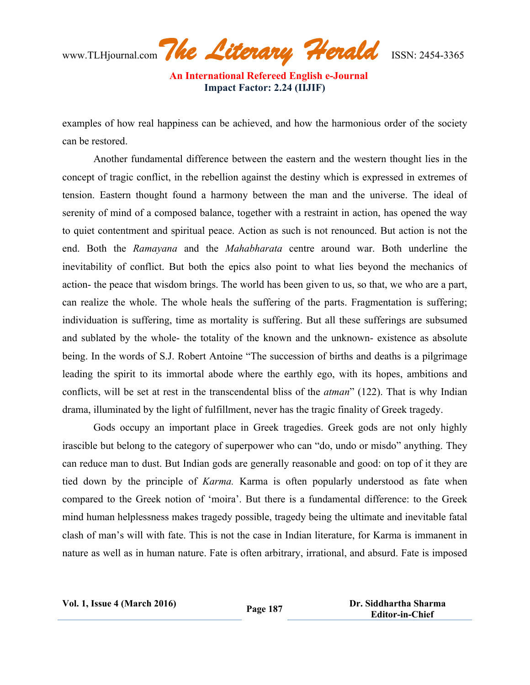www.TLHjournal.com*The Literary Herald*ISSN: 2454-3365

examples of how real happiness can be achieved, and how the harmonious order of the society can be restored.

Another fundamental difference between the eastern and the western thought lies in the concept of tragic conflict, in the rebellion against the destiny which is expressed in extremes of tension. Eastern thought found a harmony between the man and the universe. The ideal of serenity of mind of a composed balance, together with a restraint in action, has opened the way to quiet contentment and spiritual peace. Action as such is not renounced. But action is not the end. Both the *Ramayana* and the *Mahabharata* centre around war. Both underline the inevitability of conflict. But both the epics also point to what lies beyond the mechanics of action- the peace that wisdom brings. The world has been given to us, so that, we who are a part, can realize the whole. The whole heals the suffering of the parts. Fragmentation is suffering; individuation is suffering, time as mortality is suffering. But all these sufferings are subsumed and sublated by the whole- the totality of the known and the unknown- existence as absolute being. In the words of S.J. Robert Antoine "The succession of births and deaths is a pilgrimage leading the spirit to its immortal abode where the earthly ego, with its hopes, ambitions and conflicts, will be set at rest in the transcendental bliss of the *atman*" (122). That is why Indian drama, illuminated by the light of fulfillment, never has the tragic finality of Greek tragedy.

Gods occupy an important place in Greek tragedies. Greek gods are not only highly irascible but belong to the category of superpower who can "do, undo or misdo" anything. They can reduce man to dust. But Indian gods are generally reasonable and good: on top of it they are tied down by the principle of *Karma.* Karma is often popularly understood as fate when compared to the Greek notion of 'moira'. But there is a fundamental difference: to the Greek mind human helplessness makes tragedy possible, tragedy being the ultimate and inevitable fatal clash of man's will with fate. This is not the case in Indian literature, for Karma is immanent in nature as well as in human nature. Fate is often arbitrary, irrational, and absurd. Fate is imposed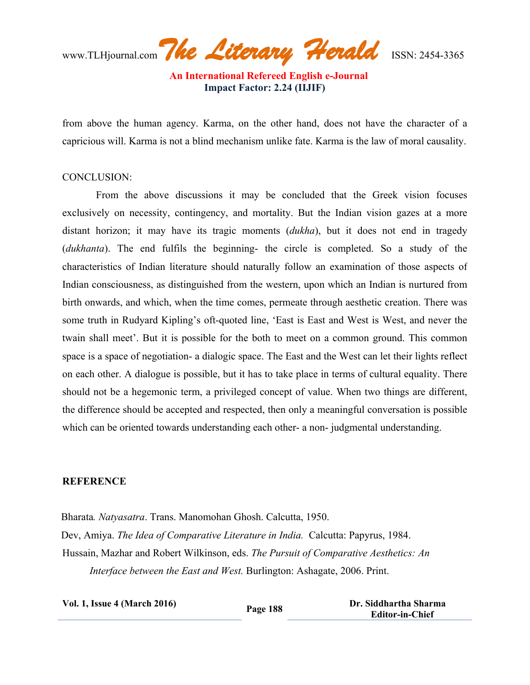www.TLHjournal.com*The Literary Herald*ISSN: 2454-3365

from above the human agency. Karma, on the other hand, does not have the character of a capricious will. Karma is not a blind mechanism unlike fate. Karma is the law of moral causality.

## CONCLUSION:

From the above discussions it may be concluded that the Greek vision focuses exclusively on necessity, contingency, and mortality. But the Indian vision gazes at a more distant horizon; it may have its tragic moments (*dukha*), but it does not end in tragedy (*dukhanta*). The end fulfils the beginning- the circle is completed. So a study of the characteristics of Indian literature should naturally follow an examination of those aspects of Indian consciousness, as distinguished from the western, upon which an Indian is nurtured from birth onwards, and which, when the time comes, permeate through aesthetic creation. There was some truth in Rudyard Kipling's oft-quoted line, 'East is East and West is West, and never the twain shall meet'. But it is possible for the both to meet on a common ground. This common space is a space of negotiation- a dialogic space. The East and the West can let their lights reflect on each other. A dialogue is possible, but it has to take place in terms of cultural equality. There should not be a hegemonic term, a privileged concept of value. When two things are different, the difference should be accepted and respected, then only a meaningful conversation is possible which can be oriented towards understanding each other- a non- judgmental understanding.

## **REFERENCE**

Bharata*. Natyasatra*. Trans. Manomohan Ghosh. Calcutta, 1950. Dev, Amiya. *The Idea of Comparative Literature in India.* Calcutta: Papyrus, 1984. Hussain, Mazhar and Robert Wilkinson, eds. *The Pursuit of Comparative Aesthetics: An Interface between the East and West.* Burlington: Ashagate, 2006. Print.

| <b>Vol. 1, Issue 4 (March 2016)</b> | Page 188 | Dr. Siddhartha Sharma<br><b>Editor-in-Chief</b> |
|-------------------------------------|----------|-------------------------------------------------|
|                                     |          |                                                 |